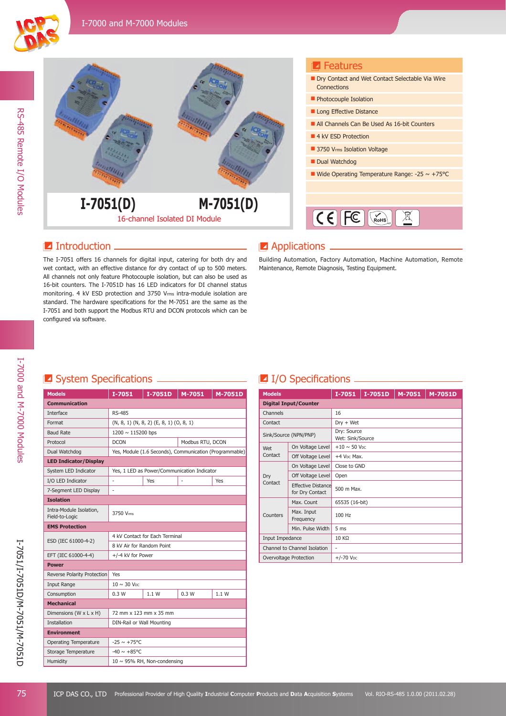



#### **I**ntroduction

The I-7051 offers 16 channels for digital input, catering for both dry and wet contact, with an effective distance for dry contact of up to 500 meters. All channels not only feature Photocouple isolation, but can also be used as 16-bit counters. The I-7051D has 16 LED indicators for DI channel status monitoring. 4 kV ESD protection and 3750 Vrms intra-module isolation are standard. The hardware specifications for the M-7051 are the same as the I-7051 and both support the Modbus RTU and DCON protocols which can be configured via software.

#### **Z** Applications

Building Automation, Factory Automation, Machine Automation, Remote Maintenance, Remote Diagnosis, Testing Equipment.

# **Z** System Specifications \_\_\_\_\_\_\_\_\_\_\_\_\_\_\_\_\_\_\_

| <b>Models</b>                             | I-7051                                          | $I-7051D$ | M-7051                                                  | M-7051D |
|-------------------------------------------|-------------------------------------------------|-----------|---------------------------------------------------------|---------|
| <b>Communication</b>                      |                                                 |           |                                                         |         |
| Interface                                 | <b>RS-485</b>                                   |           |                                                         |         |
| Format                                    | $(N, 8, 1)$ $(N, 8, 2)$ $(E, 8, 1)$ $(O, 8, 1)$ |           |                                                         |         |
| <b>Baud Rate</b>                          | 1200 ~ 115200 bps                               |           |                                                         |         |
| Protocol                                  | <b>DCON</b>                                     |           | Modbus RTU, DCON                                        |         |
| Dual Watchdog                             |                                                 |           | Yes, Module (1.6 Seconds), Communication (Programmable) |         |
| <b>LED Indicator/Display</b>              |                                                 |           |                                                         |         |
| System LED Indicator                      | Yes, 1 LED as Power/Communication Indicator     |           |                                                         |         |
| I/O LED Indicator                         | ÷,                                              | Yes       |                                                         | Yes     |
| 7-Segment LED Display                     | ä,                                              |           |                                                         |         |
| <b>Isolation</b>                          |                                                 |           |                                                         |         |
| Intra-Module Isolation,<br>Field-to-Logic | 3750 Vrms                                       |           |                                                         |         |
| <b>EMS Protection</b>                     |                                                 |           |                                                         |         |
| ESD (IEC 61000-4-2)                       | 4 kV Contact for Each Terminal                  |           |                                                         |         |
|                                           | 8 kV Air for Random Point                       |           |                                                         |         |
| EFT (IEC 61000-4-4)                       | +/-4 kV for Power                               |           |                                                         |         |
| <b>Power</b>                              |                                                 |           |                                                         |         |
| Reverse Polarity Protection               | Yes                                             |           |                                                         |         |
| Input Range                               | $10 \sim 30$ V <sub>DC</sub>                    |           |                                                         |         |
| Consumption                               | 0.3W                                            | 1.1 W     | 0.3W                                                    | 1.1 W   |
| <b>Mechanical</b>                         |                                                 |           |                                                         |         |
| Dimensions (W x L x H)                    | 72 mm x 123 mm x 35 mm                          |           |                                                         |         |
| <b>Installation</b>                       | DIN-Rail or Wall Mounting                       |           |                                                         |         |
| <b>Environment</b>                        |                                                 |           |                                                         |         |
| <b>Operating Temperature</b>              | $-25 \sim +75^{\circ}$ C                        |           |                                                         |         |
| Storage Temperature                       | $-40 \sim +85^{\circ}$ C                        |           |                                                         |         |
| Humidity                                  | $10 \sim 95\%$ RH, Non-condensing               |           |                                                         |         |

#### **I**I/O Specifications <u>III</u>

| <b>Models</b>                |                                              | $I-7051$                        | I-7051D | M-7051 | M-7051D |
|------------------------------|----------------------------------------------|---------------------------------|---------|--------|---------|
|                              | <b>Digital Input/Counter</b>                 |                                 |         |        |         |
| Channels                     |                                              | 16                              |         |        |         |
| Contact                      |                                              | $Dry + Wet$                     |         |        |         |
| Sink/Source (NPN/PNP)        |                                              | Dry: Source<br>Wet: Sink/Source |         |        |         |
| Wet                          | On Voltage Level                             | $+10 \sim 50$ V <sub>DC</sub>   |         |        |         |
| Contact                      | Off Voltage Level                            | +4 V <sub>DC</sub> Max.         |         |        |         |
|                              | On Voltage Level                             | Close to GND                    |         |        |         |
| Dry                          | Off Voltage Level                            | Open                            |         |        |         |
| Contact                      | <b>Effective Distance</b><br>for Dry Contact | 500 m Max.                      |         |        |         |
|                              | Max. Count                                   | 65535 (16-bit)                  |         |        |         |
| Counters                     | Max. Input<br>Frequency                      | 100 Hz                          |         |        |         |
|                              | Min. Pulse Width                             | 5 <sub>ms</sub>                 |         |        |         |
| Input Impedance              |                                              | 10 KQ                           |         |        |         |
| Channel to Channel Isolation |                                              | -                               |         |        |         |
| Overvoltage Protection       |                                              | $+/-70$ V <sub>DC</sub>         |         |        |         |

I-7000 and M-7000 Modules

I-7000 and M-7000 Modules